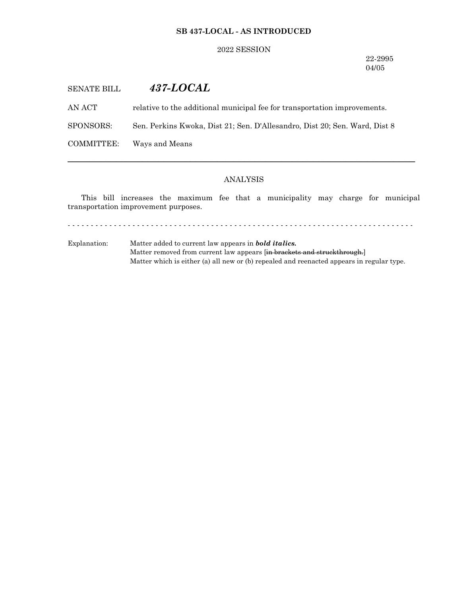## **SB 437-LOCAL - AS INTRODUCED**

#### 2022 SESSION

22-2995 04/05

# SENATE BILL *437-LOCAL*

AN ACT relative to the additional municipal fee for transportation improvements.

SPONSORS: Sen. Perkins Kwoka, Dist 21; Sen. D'Allesandro, Dist 20; Sen. Ward, Dist 8

COMMITTEE: Ways and Means

## ANALYSIS

─────────────────────────────────────────────────────────────────

This bill increases the maximum fee that a municipality may charge for municipal transportation improvement purposes.

- - - - - - - - - - - - - - - - - - - - - - - - - - - - - - - - - - - - - - - - - - - - - - - - - - - - - - - - - - - - - - - - - - - - - - - - - - -

Explanation: Matter added to current law appears in *bold italics.* Matter removed from current law appears [in brackets and struckthrough.] Matter which is either (a) all new or (b) repealed and reenacted appears in regular type.